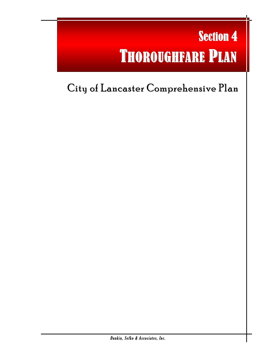# Section 4 THOROUGHFARE PLAN

l

# City of Lancaster Comprehensive Plan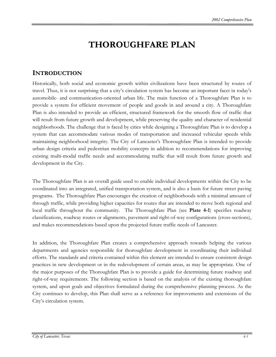# **THOROUGHFARE PLAN**

### **INTRODUCTION**

Historically, both social and economic growth within civilizations have been structured by routes of travel. Thus, it is not surprising that a city's circulation system has become an important facet in today's automobile- and communication-oriented urban life. The main function of a Thoroughfare Plan is to provide a system for efficient movement of people and goods in and around a city. A Thoroughfare Plan is also intended to provide an efficient, structured framework for the smooth flow of traffic that will result from future growth and development, while preserving the quality and character of residential neighborhoods. The challenge that is faced by cities while designing a Thoroughfare Plan is to develop a system that can accommodate various modes of transportation and increased vehicular speeds while maintaining neighborhood integrity. The City of Lancaster's Thoroughfare Plan is intended to provide urban design criteria and pedestrian mobility concepts in addition to recommendations for improving existing multi-modal traffic needs and accommodating traffic that will result from future growth and development in the City.

The Thoroughfare Plan is an overall guide used to enable individual developments within the City to be coordinated into an integrated, unified transportation system, and is also a basis for future street paving programs. The Thoroughfare Plan encourages the creation of neighborhoods with a minimal amount of through traffic, while providing higher capacities for routes that are intended to move both regional and local traffic throughout the community. The Thoroughfare Plan (see **Plate 4-1**) specifies roadway classifications, roadway routes or alignments, pavement and right-of-way configurations (cross-sections), and makes recommendations based upon the projected future traffic needs of Lancaster.

In addition, the Thoroughfare Plan creates a comprehensive approach towards helping the various departments and agencies responsible for thoroughfare development in coordinating their individual efforts. The standards and criteria contained within this element are intended to ensure consistent design practices in new development or in the redevelopment of certain areas, as may be appropriate. One of the major purposes of the Thoroughfare Plan is to provide a guide for determining future roadway and right-of-way requirements. The following section is based on the analysis of the existing thoroughfare system, and upon goals and objectives formulated during the comprehensive planning process. As the City continues to develop, this Plan shall serve as a reference for improvements and extensions of the City's circulation system.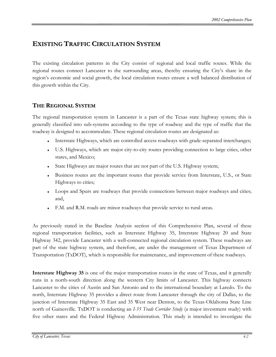## **EXISTING TRAFFIC CIRCULATION SYSTEM**

The existing circulation patterns in the City consist of regional and local traffic routes. While the regional routes connect Lancaster to the surrounding areas, thereby ensuring the City's share in the region's economic and social growth, the local circulation routes ensure a well balanced distribution of this growth within the City.

#### **THE REGIONAL SYSTEM**

The regional transportation system in Lancaster is a part of the Texas state highway system; this is generally classified into sub-systems according to the type of roadway and the type of traffic that the roadway is designed to accommodate. These regional circulation routes are designated as:

- Interstate Highways, which are controlled access roadways with grade-separated interchanges;
- ♦ U.S. Highways, which are major city-to-city routes providing connection to large cities, other states, and Mexico;
- State Highways are major routes that are not part of the U.S. Highway system;
- Business routes are the important routes that provide service from Interstate, U.S., or State Highways to cities;
- Loops and Spurs are roadways that provide connections between major roadways and cities; and,
- F.M. and R.M. roads are minor roadways that provide service to rural areas.

As previously stated in the Baseline Analysis section of this Comprehensive Plan, several of these regional transportation facilities, such as Interstate Highway 35, Interstate Highway 20 and State Highway 342, provide Lancaster with a well-connected regional circulation system. These roadways are part of the state highway system, and therefore, are under the management of Texas Department of Transportation (TxDOT), which is responsible for maintenance, and improvement of these roadways.

**Interstate Highway 35** is one of the major transportation routes in the state of Texas, and it generally runs in a north-south direction along the western City limits of Lancaster. This highway connects Lancaster to the cities of Austin and San Antonio and to the international boundary at Laredo. To the north, Interstate Highway 35 provides a direct route from Lancaster through the city of Dallas, to the junction of Interstate Highway 35 East and 35 West near Denton, to the Texas-Oklahoma State Line north of Gainesville. TxDOT is conducting an *I-35 Trade Corridor Study* (a major investment study) with five other states and the Federal Highway Administration. This study is intended to investigate the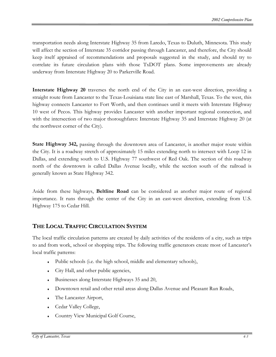transportation needs along Interstate Highway 35 from Laredo, Texas to Duluth, Minnesota. This study will affect the section of Interstate 35 corridor passing through Lancaster, and therefore, the City should keep itself appraised of recommendations and proposals suggested in the study, and should try to correlate its future circulation plans with those TxDOT plans. Some improvements are already underway from Interstate Highway 20 to Parkerville Road.

**Interstate Highway 20** traverses the north end of the City in an east-west direction, providing a straight route from Lancaster to the Texas-Louisiana state line east of Marshall, Texas. To the west, this highway connects Lancaster to Fort Worth, and then continues until it meets with Interstate Highway 10 west of Pecos. This highway provides Lancaster with another important regional connection, and with the intersection of two major thoroughfares: Interstate Highway 35 and Interstate Highway 20 (at the northwest corner of the City).

**State Highway 342,** passing through the downtown area of Lancaster, is another major route within the City. It is a roadway stretch of approximately 15 miles extending north to intersect with Loop 12 in Dallas, and extending south to U.S. Highway 77 southwest of Red Oak. The section of this roadway north of the downtown is called Dallas Avenue locally, while the section south of the railroad is generally known as State Highway 342.

Aside from these highways, **Beltline Road** can be considered as another major route of regional importance. It runs through the center of the City in an east-west direction, extending from U.S. Highway 175 to Cedar Hill.

#### **THE LOCAL TRAFFIC CIRCULATION SYSTEM**

The local traffic circulation patterns are created by daily activities of the residents of a city, such as trips to and from work, school or shopping trips. The following traffic generators create most of Lancaster's local traffic patterns:

- Public schools (i.e. the high school, middle and elementary schools),
- City Hall, and other public agencies,
- Businesses along Interstate Highways 35 and 20,
- Downtown retail and other retail areas along Dallas Avenue and Pleasant Run Roads,
- The Lancaster Airport,
- Cedar Valley College,
- Country View Municipal Golf Course,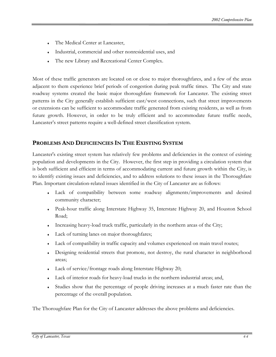- The Medical Center at Lancaster,
- Industrial, commercial and other nonresidential uses, and
- The new Library and Recreational Center Complex.

Most of these traffic generators are located on or close to major thoroughfares, and a few of the areas adjacent to them experience brief periods of congestion during peak traffic times. The City and state roadway systems created the basic major thoroughfare framework for Lancaster. The existing street patterns in the City generally establish sufficient east/west connections, such that street improvements or extensions can be sufficient to accommodate traffic generated from existing residents, as well as from future growth. However, in order to be truly efficient and to accommodate future traffic needs, Lancaster's street patterns require a well-defined street classification system.

#### **PROBLEMS AND DEFICIENCIES IN THE EXISTING SYSTEM**

Lancaster's existing street system has relatively few problems and deficiencies in the context of existing population and developments in the City. However, the first step in providing a circulation system that is both sufficient and efficient in terms of accommodating current and future growth within the City, is to identify existing issues and deficiencies, and to address solutions to these issues in the Thoroughfare Plan. Important circulation-related issues identified in the City of Lancaster are as follows:

- Lack of compatibility between some roadway alignments/improvements and desired community character;
- Peak-hour traffic along Interstate Highway 35, Interstate Highway 20, and Houston School Road;
- Increasing heavy-load truck traffic, particularly in the northern areas of the City;
- Lack of turning lanes on major thoroughfares;
- Lack of compatibility in traffic capacity and volumes experienced on main travel routes;
- Designing residential streets that promote, not destroy, the rural character in neighborhood areas;
- Lack of service/frontage roads along Interstate Highway 20;
- Lack of interior roads for heavy-load trucks in the northern industrial areas; and,
- Studies show that the percentage of people driving increases at a much faster rate than the percentage of the overall population.

The Thoroughfare Plan for the City of Lancaster addresses the above problems and deficiencies.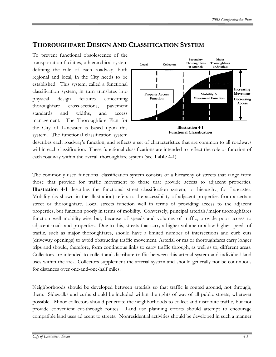#### **THOROUGHFARE DESIGN AND CLASSIFICATION SYSTEM**

To prevent functional obsolescence of the transportation facilities, a hierarchical system defining the role of each roadway, both regional and local, in the City needs to be established. This system, called a functional classification system, in turn translates into physical design features concerning thoroughfare cross-sections, pavement standards and widths, and access management. The Thoroughfare Plan for the City of Lancaster is based upon this system. The functional classification system



**Functional Classification**

describes each roadway's function, and reflects a set of characteristics that are common to all roadways within each classification. These functional classifications are intended to reflect the role or function of each roadway within the overall thoroughfare system (see **Table 4-1**).

The commonly used functional classification system consists of a hierarchy of streets that range from those that provide for traffic movement to those that provide access to adjacent properties. **Illustration 4-1** describes the functional street classification system, or hierarchy, for Lancaster. Mobility (as shown in the illustration) refers to the accessibility of adjacent properties from a certain street or thoroughfare. Local streets function well in terms of providing access to the adjacent properties, but function poorly in terms of mobility. Conversely, principal arterials/major thoroughfares function well mobility-wise but, because of speeds and volumes of traffic, provide poor access to adjacent roads and properties. Due to this, streets that carry a higher volume or allow higher speeds of traffic, such as major thoroughfares, should have a limited number of intersections and curb cuts (driveway openings) to avoid obstructing traffic movement. Arterial or major thoroughfares carry longer trips and should, therefore, form continuous links to carry traffic through, as well as to, different areas. Collectors are intended to collect and distribute traffic between this arterial system and individual land uses within the area. Collectors supplement the arterial system and should generally not be continuous for distances over one-and-one-half miles.

Neighborhoods should be developed between arterials so that traffic is routed around, not through, them. Sidewalks and curbs should be included within the rights-of-way of all public streets, wherever possible. Minor collectors should penetrate the neighborhoods to collect and distribute traffic, but not provide convenient cut-through routes. Land use planning efforts should attempt to encourage compatible land uses adjacent to streets. Nonresidential activities should be developed in such a manner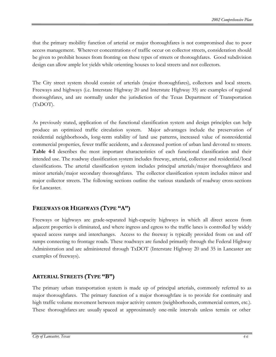that the primary mobility function of arterial or major thoroughfares is not compromised due to poor access management. Wherever concentrations of traffic occur on collector streets, consideration should be given to prohibit houses from fronting on these types of streets or thoroughfares. Good subdivision design can allow ample lot yields while orienting houses to local streets and not collectors.

The City street system should consist of arterials (major thoroughfares), collectors and local streets. Freeways and highways (i.e. Interstate Highway 20 and Interstate Highway 35) are examples of regional thoroughfares, and are normally under the jurisdiction of the Texas Department of Transportation (TxDOT).

As previously stated, application of the functional classification system and design principles can help produce an optimized traffic circulation system. Major advantages include the preservation of residential neighborhoods, long-term stability of land use patterns, increased value of nonresidential commercial properties, fewer traffic accidents, and a decreased portion of urban land devoted to streets. **Table 4-1** describes the most important characteristics of each functional classification and their intended use. The roadway classification system includes freeway, arterial, collector and residential/local classifications. The arterial classification system includes principal arterials/major thoroughfares and minor arterials/major secondary thoroughfares. The collector classification system includes minor and major collector streets. The following sections outline the various standards of roadway cross-sections for Lancaster.

#### **FREEWAYS OR HIGHWAYS (TYPE "A")**

Freeways or highways are grade-separated high-capacity highways in which all direct access from adjacent properties is eliminated, and where ingress and egress to the traffic lanes is controlled by widely spaced access ramps and interchanges. Access to the freeway is typically provided from on and off ramps connecting to frontage roads. These roadways are funded primarily through the Federal Highway Administration and are administered through TxDOT (Interstate Highway 20 and 35 in Lancaster are examples of freeways).

#### **ARTERIAL STREETS (TYPE "B")**

The primary urban transportation system is made up of principal arterials, commonly referred to as major thoroughfares. The primary function of a major thoroughfare is to provide for continuity and high traffic volume movement between major activity centers (neighborhoods, commercial centers, etc.). These thoroughfares are usually spaced at approximately one-mile intervals unless terrain or other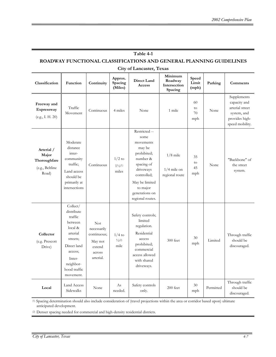| Table 4-1                                                          |                                                                                                                                                               |                                                                                      |                                         |                                                                                                                                                                                       |                                               |                         |           |                                                                                                    |  |
|--------------------------------------------------------------------|---------------------------------------------------------------------------------------------------------------------------------------------------------------|--------------------------------------------------------------------------------------|-----------------------------------------|---------------------------------------------------------------------------------------------------------------------------------------------------------------------------------------|-----------------------------------------------|-------------------------|-----------|----------------------------------------------------------------------------------------------------|--|
| ROADWAY FUNCTIONAL CLASSIFICATIONS AND GENERAL PLANNING GUIDELINES |                                                                                                                                                               |                                                                                      |                                         |                                                                                                                                                                                       |                                               |                         |           |                                                                                                    |  |
| Classification                                                     | Function                                                                                                                                                      | Continuity                                                                           | Approx.<br>Spacing<br>(Miles)           | City of Lancaster, Texas<br>Direct Land<br>Access                                                                                                                                     | Minimum<br>Roadway<br>Intersection<br>Spacing | Speed<br>Limit<br>(mph) | Parking   | Comments                                                                                           |  |
| Freeway and<br>Expressway<br>(e.g., I. H. 20)                      | Traffic<br>Movement                                                                                                                                           | Continuous                                                                           | 4 miles                                 | None                                                                                                                                                                                  | 1 mile                                        | -60<br>to<br>70<br>mph  | None      | Supplements<br>capacity and<br>arterial street<br>system, and<br>provides high-<br>speed mobility. |  |
| Arterial /<br>Major<br>Thoroughfare<br>(e.g., Beltline<br>Road)    | Moderate<br>distance<br>inter-<br>community<br>traffic;<br>Land access<br>should be<br>primarily at<br>intersections                                          | Continuous                                                                           | $1/2$ to<br>$1\frac{1}{2}$ (1)<br>miles | Restricted --<br>some<br>movements<br>may be<br>prohibited;<br>number &<br>spacing of<br>driveways<br>controlled;<br>May be limited<br>to major<br>generations on<br>regional routes. | $1/8$ mile<br>$1/4$ mile on<br>regional route | 35<br>to<br>45<br>mph   | None      | "Backbone" of<br>the street<br>system.                                                             |  |
| Collector<br>(e.g. Prescott<br>Drive)                              | Collect/<br>distribute<br>traffic<br>between<br>local &<br>arterial<br>streets;<br>Direct land<br>access;<br>Inter-<br>neighbor-<br>hood traffic<br>movement. | <b>Not</b><br>necessarily<br>continuous;<br>May not<br>extend<br>across<br>arterial. | $1/4$ to<br>1/2(2)<br>mile              | Safety controls;<br>limited<br>regulation.<br>Residential<br>access<br>prohibited;<br>commercial<br>access allowed<br>with shared<br>driveways.                                       | 300 feet                                      | 30<br>mph               | Limited   | Through traffic<br>should be<br>discouraged.                                                       |  |
| Local                                                              | Land Access<br>Sidewalks                                                                                                                                      | None                                                                                 | As<br>needed.                           | Safety controls<br>only.                                                                                                                                                              | $200$ feet                                    | 30<br>mph               | Permitted | Through traffic<br>should be<br>discouraged.                                                       |  |

(1) Spacing determination should also include consideration of (travel projections within the area or corridor based upon) ultimate anticipated development.

(2) Denser spacing needed for commercial and high-density residential districts.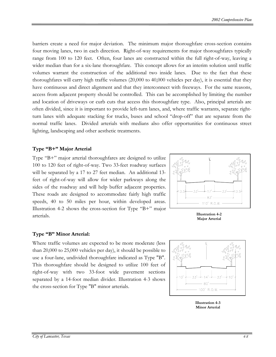barriers create a need for major deviation. The minimum major thoroughfare cross-section contains four moving lanes, two in each direction. Right-of-way requirements for major thoroughfares typically range from 100 to 120 feet. Often, four lanes are constructed within the full right-of-way, leaving a wider median than for a six-lane thoroughfare. This concept allows for an interim solution until traffic volumes warrant the construction of the additional two inside lanes. Due to the fact that these thoroughfares will carry high traffic volumes (20,000 to 40,000 vehicles per day), it is essential that they have continuous and direct alignment and that they interconnect with freeways. For the same reasons, access from adjacent property should be controlled. This can be accomplished by limiting the number and location of driveways or curb cuts that access this thoroughfare type. Also, principal arterials are often divided, since it is important to provide left-turn lanes, and, where traffic warrants, separate rightturn lanes with adequate stacking for trucks, buses and school "drop-off" that are separate from the normal traffic lanes. Divided arterials with medians also offer opportunities for continuous street lighting, landscaping and other aesthetic treatments.

#### **Type "B+" Major Arterial**

Type "B+" major arterial thoroughfares are designed to utilize 100 to 120 feet of right-of-way. Two 33-feet roadway surfaces will be separated by a 17 to 27 feet median. An additional 13feet of right-of-way will allow for wider parkways along the sides of the roadway and will help buffer adjacent properties. These roads are designed to accommodate fairly high traffic speeds, 40 to 50 miles per hour, within developed areas. Illustration 4-2 shows the cross-section for Type "B+" major arterials. **Illustration 4-2** 



**Major Arterial**

#### **Type "B" Minor Arterial:**

Where traffic volumes are expected to be more moderate (less than 20,000 to 25,000 vehicles per day), it should be possible to use a four-lane, undivided thoroughfare indicated as Type "B". This thoroughfare should be designed to utilize 100 feet of right-of-way with two 33-foot wide pavement sections separated by a 14-foot median divider. Illustration 4-3 shows the cross-section for Type "B" minor arterials.



**Illustration 4-3 Minor Arterial**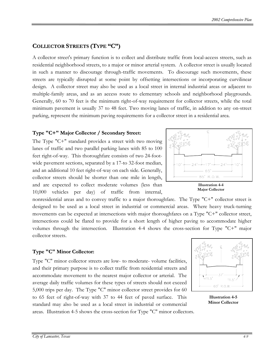#### **COLLECTOR STREETS (TYPE "C")**

A collector street's primary function is to collect and distribute traffic from local-access streets, such as residential neighborhood streets, to a major or minor arterial system. A collector street is usually located in such a manner to discourage through-traffic movements. To discourage such movements, these streets are typically disrupted at some point by offsetting intersections or incorporating curvilinear design. A collector street may also be used as a local street in internal industrial areas or adjacent to multiple-family areas, and as an access route to elementary schools and neighborhood playgrounds. Generally, 60 to 70 feet is the minimum right-of-way requirement for collector streets, while the total minimum pavement is usually 37 to 48 feet. Two moving lanes of traffic, in addition to any on-street parking, represent the minimum paving requirements for a collector street in a residential area.

#### **Type "C+" Major Collector / Secondary Street:**

The Type "C+" standard provides a street with two moving lanes of traffic and two parallel parking lanes with 85 to 100 feet right-of-way. This thoroughfare consists of two 24-footwide pavement sections, separated by a 17-to 32-foot median, and an additional 10 feet right-of-way on each side. Generally, collector streets should be shorter than one mile in length, and are expected to collect moderate volumes (less than 10,000 vehicles per day) of traffic from internal,

nonresidential areas and to convey traffic to a major thoroughfare. The Type "C+" collector street is designed to be used as a local street in industrial or commercial areas. Where heavy truck-turning movements can be expected at intersections with major thoroughfares on a Type "C+" collector street, intersections could be flared to provide for a short length of higher paving to accommodate higher volumes through the intersection. Illustration 4-4 shows the cross-section for Type "C+" major collector streets.

#### **Type "C" Minor Collector:**

Type "C" minor collector streets are low- to moderate- volume facilities, and their primary purpose is to collect traffic from residential streets and accommodate movement to the nearest major collector or arterial. The average daily traffic volumes for these types of streets should not exceed 5,000 trips per day. The Type "C" minor collector street provides for 60 to 65 feet of right-of-way with 37 to 44 feet of paved surface. This standard may also be used as a local street in industrial or commercial areas. Illustration 4-5 shows the cross-section for Type "C" minor collectors.



**Illustration 4-5 Minor Collector**



**Major Collector**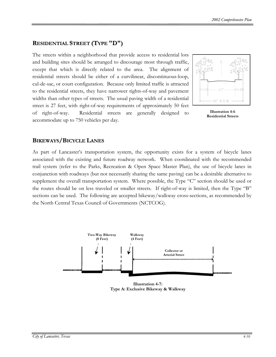#### **RESIDENTIAL STREET (TYPE "D")**

The streets within a neighborhood that provide access to residential lots and building sites should be arranged to discourage most through traffic, except that which is directly related to the area. The alignment of residential streets should be either of a curvilinear, discontinuous-loop, cul-de-sac, or court configuration. Because only limited traffic is attracted to the residential streets, they have narrower rights-of-way and pavement widths than other types of streets. The usual paving width of a residential street is 27 feet, with right-of-way requirements of approximately 50 feet of right-of-way. Residential streets are generally designed to accommodate up to 750 vehicles per day.



**Illustration 4-6 Residential Streets** 

#### **BIKEWAYS/BICYCLE LANES**

As part of Lancaster's transportation system, the opportunity exists for a system of bicycle lanes associated with the existing and future roadway network. When coordinated with the recommended trail system (refer to the Parks, Recreation & Open Space Master Plan), the use of bicycle lanes in conjunction with roadways (but not necessarily sharing the same paving) can be a desirable alternative to supplement the overall transportation system. Where possible, the Type "C" section should be used or the routes should be on less traveled or smaller streets. If right-of-way is limited, then the Type "B" sections can be used. The following are accepted bikeway/walkway cross-sections, as recommended by the North Central Texas Council of Governments (NCTCOG).



**Illustration 4-7: Type A: Exclusive Bikeway & Walkway**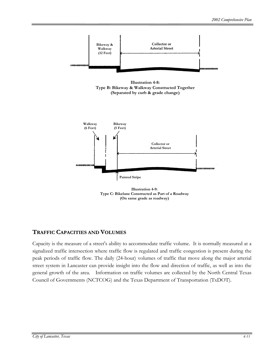





**Illustration 4-9: Type C: Bikelane Constructed as Part of a Roadway (On same grade as roadway)**

#### **TRAFFIC CAPACITIES AND VOLUMES**

Capacity is the measure of a street's ability to accommodate traffic volume. It is normally measured at a signalized traffic intersection where traffic flow is regulated and traffic congestion is present during the peak periods of traffic flow. The daily (24-hour) volumes of traffic that move along the major arterial street system in Lancaster can provide insight into the flow and direction of traffic, as well as into the general growth of the area. Information on traffic volumes are collected by the North Central Texas Council of Governments (NCTCOG) and the Texas Department of Transportation (TxDOT).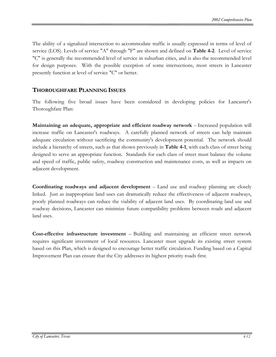The ability of a signalized intersection to accommodate traffic is usually expressed in terms of level of service (LOS). Levels of service "A" through "F" are shown and defined on **Table 4-2**. Level of service "C" is generally the recommended level of service in suburban cities, and is also the recommended level for design purposes. With the possible exception of some intersections, most streets in Lancaster presently function at level of service "C" or better.

#### **THOROUGHFARE PLANNING ISSUES**

The following five broad issues have been considered in developing policies for Lancaster's Thoroughfare Plan:

**Maintaining an adequate, appropriate and efficient roadway network – Increased population will** increase traffic on Lancaster's roadways. A carefully planned network of streets can help maintain adequate circulation without sacrificing the community's development potential. The network should include a hierarchy of streets, such as that shown previously in **Table 4-1**, with each class of street being designed to serve an appropriate function. Standards for each class of street must balance the volume and speed of traffic, public safety, roadway construction and maintenance costs, as well as impacts on adjacent development.

**Coordinating roadways and adjacent development** – Land use and roadway planning are closely linked. Just as inappropriate land uses can dramatically reduce the effectiveness of adjacent roadways, poorly planned roadways can reduce the viability of adjacent land uses. By coordinating land use and roadway decisions, Lancaster can minimize future compatibility problems between roads and adjacent land uses.

**Cost-effective infrastructure investment** – Building and maintaining an efficient street network requires significant investment of local resources. Lancaster must upgrade its existing street system based on this Plan, which is designed to encourage better traffic circulation. Funding based on a Capital Improvement Plan can ensure that the City addresses its highest priority roads first.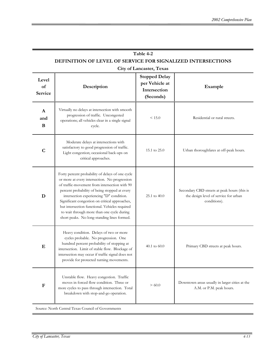| Table 4-2                                                   |  |  |  |  |  |
|-------------------------------------------------------------|--|--|--|--|--|
| DEFINITION OF LEVEL OF SERVICE FOR SIGNALIZED INTERSECTIONS |  |  |  |  |  |

#### **City of Lancaster, Texas**

| Level<br>of<br><b>Service</b> | Description                                                                                                                                                                                                                                                                                                                                                                                                                                      | <b>Stopped Delay</b><br>per Vehicle at<br>Intersection<br>(Seconds) | Example                                                                                               |  |
|-------------------------------|--------------------------------------------------------------------------------------------------------------------------------------------------------------------------------------------------------------------------------------------------------------------------------------------------------------------------------------------------------------------------------------------------------------------------------------------------|---------------------------------------------------------------------|-------------------------------------------------------------------------------------------------------|--|
| A<br>and<br>B                 | Virtually no delays at intersection with smooth<br>progression of traffic. Uncongested<br>operations; all vehicles clear in a single signal<br>cycle.                                                                                                                                                                                                                                                                                            | < 15.0                                                              | Residential or rural streets.                                                                         |  |
| $\mathbf C$                   | Moderate delays at intersections with<br>satisfactory to good progression of traffic.<br>Light congestion; occasional back-ups on<br>critical approaches.                                                                                                                                                                                                                                                                                        | 15.1 to 25.0                                                        | Urban thoroughfares at off-peak hours.                                                                |  |
| D                             | Forty percent probability of delays of one cycle<br>or more at every intersection. No progression<br>of traffic-movement from intersection with 90<br>percent probability of being stopped at every<br>intersection experiencing "D" condition.<br>Significant congestion on critical approaches,<br>but intersection functional. Vehicles required<br>to wait through more than one cycle during<br>short peaks. No long-standing lines formed. | $25.1 \text{ to } 40.0$                                             | Secondary CBD streets at peak hours (this is<br>the design level of service for urban<br>conditions). |  |
| E                             | Heavy condition. Delays of two or more<br>cycles probable. No progression. One<br>hundred percent probability of stopping at<br>intersection. Limit of stable flow. Blockage of<br>intersection may occur if traffic signal does not<br>provide for protected turning movements.                                                                                                                                                                 | 40.1 to $60.0$                                                      | Primary CBD streets at peak hours.                                                                    |  |
| $\mathbf F$                   | Unstable flow. Heavy congestion. Traffic<br>moves in forced flow condition. Three or<br>more cycles to pass through intersection. Total<br>breakdown with stop-and-go operation.                                                                                                                                                                                                                                                                 | > 60.0                                                              | Downtown areas usually in larger cities at the<br>A.M. or P.M. peak hours.                            |  |
|                               | Source: North Central Texas Council of Governments                                                                                                                                                                                                                                                                                                                                                                                               |                                                                     |                                                                                                       |  |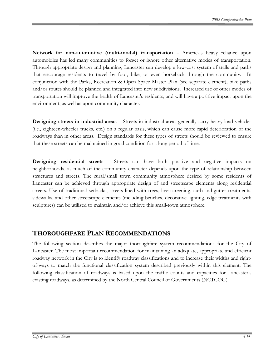**Network for non-automotive (multi-modal) transportation** -- America's heavy reliance upon automobiles has led many communities to forget or ignore other alternative modes of transportation. Through appropriate design and planning, Lancaster can develop a low-cost system of trails and paths that encourage residents to travel by foot, bike, or even horseback through the community. In conjunction with the Parks, Recreation & Open Space Master Plan (see separate element), bike paths and/or routes should be planned and integrated into new subdivisions. Increased use of other modes of transportation will improve the health of Lancaster's residents, and will have a positive impact upon the environment, as well as upon community character.

**Designing streets in industrial areas** – Streets in industrial areas generally carry heavy-load vehicles (i.e., eighteen-wheeler trucks, etc.) on a regular basis, which can cause more rapid deterioration of the roadways than in other areas. Design standards for these types of streets should be reviewed to ensure that these streets can be maintained in good condition for a long period of time.

**Designing residential streets** – Streets can have both positive and negative impacts on neighborhoods, as much of the community character depends upon the type of relationship between structures and streets. The rural/small town community atmosphere desired by some residents of Lancaster can be achieved through appropriate design of and streetscape elements along residential streets. Use of traditional setbacks, streets lined with trees, live screening, curb-and-gutter treatments, sidewalks, and other streetscape elements (including benches, decorative lighting, edge treatments with sculptures) can be utilized to maintain and/or achieve this small-town atmosphere.

#### **THOROUGHFARE PLAN RECOMMENDATIONS**

The following section describes the major thoroughfare system recommendations for the City of Lancaster. The most important recommendation for maintaining an adequate, appropriate and efficient roadway network in the City is to identify roadway classifications and to increase their widths and rightof-ways to match the functional classification system described previously within this element. The following classification of roadways is based upon the traffic counts and capacities for Lancaster's existing roadways, as determined by the North Central Council of Governments (NCTCOG).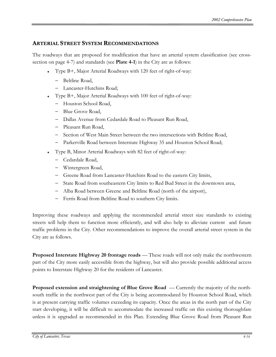#### **ARTERIAL STREET SYSTEM RECOMMENDATIONS**

The roadways that are proposed for modification that have an arterial system classification (see crosssection on page 4-7) and standards (see **Plate 4-1**) in the City are as follows:

- ♦ Type B+, Major Arterial Roadways with 120 feet of right-of-way:
	- − Beltline Road,
	- − Lancaster-Hutchins Road;
- Type B+, Major Arterial Roadways with 100 feet of right-of-way:
	- − Houston School Road,
	- − Blue Grove Road,
	- − Dallas Avenue from Cedardale Road to Pleasant Run Road,
	- − Pleasant Run Road,
	- − Section of West Main Street between the two intersections with Beltline Road,
	- − Parkerville Road between Interstate Highway 35 and Houston School Road;
- Type B, Minor Arterial Roadways with 82 feet of right-of-way:
	- − Cedardale Road,
	- − Wintergreen Road,
	- − Greene Road from Lancaster-Hutchins Road to the eastern City limits,
	- − State Road from southeastern City limits to Red Bud Street in the downtown area,
	- − Alba Road between Greene and Beltline Road (north of the airport),
	- − Ferris Road from Beltline Road to southern City limits.

Improving these roadways and applying the recommended arterial street size standards to existing streets will help them to function more efficiently, and will also help to alleviate current and future traffic problems in the City. Other recommendations to improve the overall arterial street system in the City are as follows.

**Proposed Interstate Highway 20 frontage roads** — These roads will not only make the northwestern part of the City more easily accessible from the highway, but will also provide possible additional access points to Interstate Highway 20 for the residents of Lancaster.

**Proposed extension and straightening of Blue Grove Road** — Currently the majority of the northsouth traffic in the northwest part of the City is being accommodated by Houston School Road, which is at present carrying traffic volumes exceeding its capacity. Once the areas in the north part of the City start developing, it will be difficult to accommodate the increased traffic on this existing thoroughfare unless it is upgraded as recommended in this Plan. Extending Blue Grove Road from Pleasant Run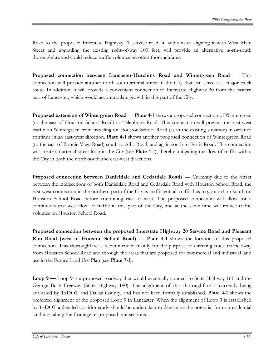Road to the proposed Interstate Highway 20 service road, in addition to aligning it with West Main Street and upgrading the existing right-of-way 100 feet, will provide an alternative north-south thoroughfare and could reduce traffic volumes on other thoroughfares.

**Proposed connection between Lancaster-Hutchins Road and Wintergreen Road** — This connection will provide another north-south arterial street in the City that can serve as a major truck route. In addition, it will provide a convenient connection to Interstate Highway 20 from the eastern part of Lancaster, which would accommodate growth in this part of the City.

**Proposed extension of Wintergreen Road — Plate 4-1 shows a proposed connection of Wintergreen** (to the east of Houston School Road) to Telephone Road. This connection will prevent the east-west traffic on Wintergreen from traveling on Houston School Road (as in the existing situation) in order to continue in an east-west direction. **Plate 4-1** shows another proposed connection of Wintergreen Road (to the east of Bonnie View Road) south to Alba Road, and again south to Ferris Road. This connection will create an arterial street loop in the City (see **Plate 4-1**), thereby mitigating the flow of traffic within the City in both the north-south and east-west directions.

**Proposed connection between Danieldale and Cedardale Roads** — Currently due to the offset between the intersections of both Danieldale Road and Cedardale Road with Houston School Road, the east-west connection in the northern part of the City is inefficient; all traffic has to go north or south on Houston School Road before continuing east or west. The proposed connection will allow for a continuous east-west flow of traffic in this part of the City, and at the same time will reduce traffic volumes on Houston School Road.

**Proposed connection between the proposed Interstate Highway 20 Service Road and Pleasant Run Road (west of Houston School Road)** — **Plate 4-1** shows the location of this proposed connection. This thoroughfare is recommended mainly for the purpose of directing truck traffic away from Houston School Road and through the areas that are proposed for commercial and industrial land use in the Future Land Use Plan (see **Plate 7-1**).

**Loop 9 —** Loop 9 is a proposed roadway that would eventually connect to State Highway 161 and the George Bush Freeway (State Highway 190). The alignment of this thoroughfare is currently being evaluated by TxDOT and Dallas County, and has not been formally established. **Plate 4-1** shows the preferred alignment of the proposed Loop 9 in Lancaster. When the alignment of Loop 9 is established by TxDOT a detailed corridor study should be undertaken to determine the potential for nonresidential land uses along the frontage or proposed intersections.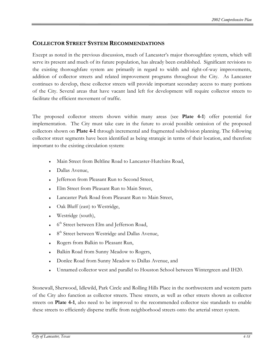#### **COLLECTOR STREET SYSTEM RECOMMENDATIONS**

Except as noted in the previous discussion, much of Lancaster's major thoroughfare system, which will serve its present and much of its future population, has already been established. Significant revisions to the existing thoroughfare system are primarily in regard to width and right-of-way improvements, addition of collector streets and related improvement programs throughout the City. As Lancaster continues to develop, these collector streets will provide important secondary access to many portions of the City. Several areas that have vacant land left for development will require collector streets to facilitate the efficient movement of traffic.

The proposed collector streets shown within many areas (see **Plate 4-1**) offer potential for implementation. The City must take care in the future to avoid possible omission of the proposed collectors shown on **Plate 4-1** through incremental and fragmented subdivision planning. The following collector street segments have been identified as being strategic in terms of their location, and therefore important to the existing circulation system:

- Main Street from Beltline Road to Lancaster-Hutchins Road,
- Dallas Avenue,
- Jefferson from Pleasant Run to Second Street,
- Elm Street from Pleasant Run to Main Street,
- Lancaster Park Road from Pleasant Run to Main Street,
- Oak Bluff (east) to Westridge,
- Westridge (south),
- 6<sup>th</sup> Street between Elm and Jefferson Road,
- 8<sup>th</sup> Street between Westridge and Dallas Avenue,
- Rogers from Balkin to Pleasant Run,
- Balkin Road from Sunny Meadow to Rogers,
- Donlee Road from Sunny Meadow to Dallas Avenue, and
- Unnamed collector west and parallel to Houston School between Wintergreen and IH20.

Stonewall, Sherwood, Idlewild, Park Circle and Rolling Hills Place in the northwestern and western parts of the City also function as collector streets. These streets, as well as other streets shown as collector streets on **Plate 4-1**, also need to be improved to the recommended collector size standards to enable these streets to efficiently disperse traffic from neighborhood streets onto the arterial street system.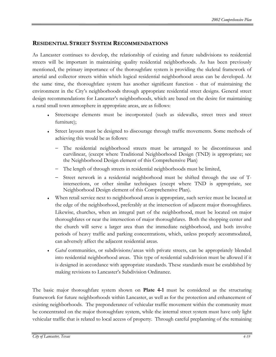#### **RESIDENTIAL STREET SYSTEM RECOMMENDATIONS**

As Lancaster continues to develop, the relationship of existing and future subdivisions to residential streets will be important in maintaining quality residential neighborhoods. As has been previously mentioned, the primary importance of the thoroughfare system is providing the skeletal framework of arterial and collector streets within which logical residential neighborhood areas can be developed. At the same time, the thoroughfare system has another significant function - that of maintaining the environment in the City's neighborhoods through appropriate residential street designs. General street design recommendations for Lancaster's neighborhoods, which are based on the desire for maintaining a rural small town atmosphere in appropriate areas, are as follows:

- ♦ Streetscape elements must be incorporated (such as sidewalks, street trees and street furniture);
- ♦ Street layouts must be designed to discourage through traffic movements. Some methods of achieving this would be as follows:
	- The residential neighborhood streets must be arranged to be discontinuous and curvilinear, (except where Traditional Neighborhood Design (TND) is appropriate; see the Neighborhood Design element of this Comprehensive Plan)
	- The length of through streets in residential neighborhoods must be limited,
	- − Street network in a residential neighborhood must be shifted through the use of Tintersections, or other similar techniques (except where TND is appropriate, see Neighborhood Design element of this Comprehensive Plan).
- When retail service next to neighborhood areas is appropriate, such service must be located at the edge of the neighborhood, preferably at the intersection of adjacent major thoroughfares. Likewise, churches, when an integral part of the neighborhood, must be located on major thoroughfares or near the intersection of major thoroughfares. Both the shopping center and the church will serve a larger area than the immediate neighborhood, and both involve periods of heavy traffic and parking concentrations, which, unless properly accommodated, can adversely affect the adjacent residential areas.
- *Gated* communities, or subdivisions/areas with private streets, can be appropriately blended into residential neighborhood areas. This type of residential subdivision must be allowed if it is designed in accordance with appropriate standards. These standards must be established by making revisions to Lancaster's Subdivision Ordinance.

The basic major thoroughfare system shown on **Plate 4-1** must be considered as the structuring framework for future neighborhoods within Lancaster, as well as for the protection and enhancement of existing neighborhoods. The preponderance of vehicular traffic movement within the community must be concentrated on the major thoroughfare system, while the internal street system must have only light vehicular traffic that is related to local access of property. Through careful preplanning of the remaining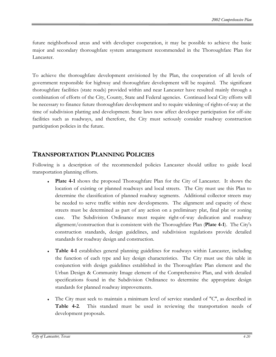future neighborhood areas and with developer cooperation, it may be possible to achieve the basic major and secondary thoroughfare system arrangement recommended in the Thoroughfare Plan for Lancaster.

To achieve the thoroughfare development envisioned by the Plan, the cooperation of all levels of government responsible for highway and thoroughfare development will be required. The significant thoroughfare facilities (state roads) provided within and near Lancaster have resulted mainly through a combination of efforts of the City, County, State and Federal agencies. Continued local City efforts will be necessary to finance future thoroughfare development and to require widening of rights-of-way at the time of subdivision platting and development. State laws now affect developer participation for off-site facilities such as roadways, and therefore, the City must seriously consider roadway construction participation policies in the future.

#### **TRANSPORTATION PLANNING POLICIES**

Following is a description of the recommended policies Lancaster should utilize to guide local transportation planning efforts.

- ♦ **Plate 4-1** shows the proposed Thoroughfare Plan for the City of Lancaster. It shows the location of existing or planned roadways and local streets. The City must use this Plan to determine the classification of planned roadway segments. Additional collector streets may be needed to serve traffic within new developments. The alignment and capacity of these streets must be determined as part of any action on a preliminary plat, final plat or zoning case. The Subdivision Ordinance must require right-of-way dedication and roadway alignment/construction that is consistent with the Thoroughfare Plan (**Plate 4-1**). The City's construction standards, design guidelines, and subdivision regulations provide detailed standards for roadway design and construction.
- **Table 4-1** establishes general planning guidelines for roadways within Lancaster, including the function of each type and key design characteristics. The City must use this table in conjunction with design guidelines established in the Thoroughfare Plan element and the Urban Design & Community Image element of the Comprehensive Plan, and with detailed specifications found in the Subdivision Ordinance to determine the appropriate design standards for planned roadway improvements.
- The City must seek to maintain a minimum level of service standard of "C", as described in **Table 4-2**. This standard must be used in reviewing the transportation needs of development proposals.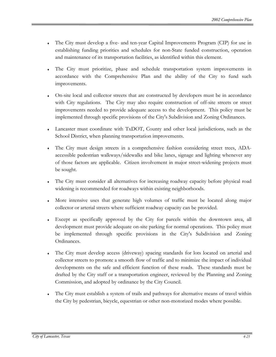- The City must develop a five- and ten-year Capital Improvements Program (CIP) for use in establishing funding priorities and schedules for non-State funded construction, operation and maintenance of its transportation facilities, as identified within this element.
- The City must prioritize, phase and schedule transportation system improvements in accordance with the Comprehensive Plan and the ability of the City to fund such improvements.
- On-site local and collector streets that are constructed by developers must be in accordance with City regulations. The City may also require construction of off-site streets or street improvements needed to provide adequate access to the development. This policy must be implemented through specific provisions of the City's Subdivision and Zoning Ordinances.
- Lancaster must coordinate with TxDOT, County and other local jurisdictions, such as the School District, when planning transportation improvements.
- The City must design streets in a comprehensive fashion considering street trees, ADAaccessible pedestrian walkways/sidewalks and bike lanes, signage and lighting whenever any of those factors are applicable. Citizen involvement in major street-widening projects must be sought.
- The City must consider all alternatives for increasing roadway capacity before physical road widening is recommended for roadways within existing neighborhoods.
- More intensive uses that generate high volumes of traffic must be located along major collector or arterial streets where sufficient roadway capacity can be provided.
- Except as specifically approved by the City for parcels within the downtown area, all development must provide adequate on-site parking for normal operations. This policy must be implemented through specific provisions in the City's Subdivision and Zoning Ordinances.
- The City must develop access (driveway) spacing standards for lots located on arterial and collector streets to promote a smooth flow of traffic and to minimize the impact of individual developments on the safe and efficient function of these roads. These standards must be drafted by the City staff or a transportation engineer, reviewed by the Planning and Zoning Commission, and adopted by ordinance by the City Council.
- The City must establish a system of trails and pathways for alternative means of travel within the City by pedestrian, bicycle, equestrian or other non-motorized modes where possible.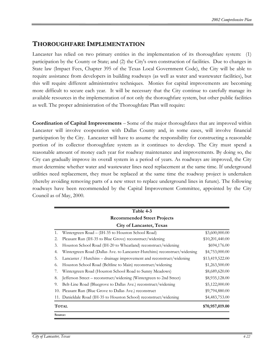#### **THOROUGHFARE IMPLEMENTATION**

Lancaster has relied on two primary entities in the implementation of its thoroughfare system: (1) participation by the County or State; and (2) the City's own construction of facilities. Due to changes in State law (Impact Fees, Chapter 395 of the Texas Local Government Code), the City will be able to require assistance from developers in building roadways (as well as water and wastewater facilities), but this will require different administrative techniques. Monies for capital improvements are becoming more difficult to secure each year. It will be necessary that the City continue to carefully manage its available resources in the implementation of not only the thoroughfare system, but other public facilities as well. The proper administration of the Thoroughfare Plan will require:

**Coordination of Capital Improvements** – Some of the major thoroughfares that are improved within Lancaster will involve cooperation with Dallas County and, in some cases, will involve financial participation by the City. Lancaster will have to assume the responsibility for constructing a reasonable portion of its collector thoroughfare system as it continues to develop. The City must spend a reasonable amount of money each year for roadway maintenance and improvements. By doing so, the City can gradually improve its overall system in a period of years. As roadways are improved, the City must determine whether water and wastewater lines need replacement at the same time. If underground utilities need replacement, they must be replaced at the same time the roadway project is undertaken (thereby avoiding removing parts of a new street to replace underground lines in future). The following roadways have been recommended by the Capital Improvement Committee, appointed by the City Council as of May, 2000.

|                                    | Table 4-3                                                                 |                 |  |  |  |  |
|------------------------------------|---------------------------------------------------------------------------|-----------------|--|--|--|--|
| <b>Recommended Street Projects</b> |                                                                           |                 |  |  |  |  |
| <b>City of Lancaster, Texas</b>    |                                                                           |                 |  |  |  |  |
| 1.                                 | Wintergreen Road - (IH-35 to Houston School Road)                         | \$3,600,000.00  |  |  |  |  |
| 2.                                 | Pleasant Run (IH-35 to Blue Grove) reconstruct/widening                   | \$10,201,440.00 |  |  |  |  |
| 3.                                 | Houston School Road (IH-20 to Wheatland) reconstruct/widening             | \$694,176.00    |  |  |  |  |
| 4.                                 | Wintergreen Road (Dallas Ave. to Lancaster-Hutchins) reconstruct/widening | \$4,753,000.00  |  |  |  |  |
| 5.                                 | Lancaster / Hutchins – drainage improvement and reconstruct/widening      | \$13,419,522.00 |  |  |  |  |
| 6.                                 | Houston School Road (Beltline to Main) reconstruct/widening               | \$1,263,500.00  |  |  |  |  |
| 7.                                 | Wintergreen Road (Houston School Road to Sunny Meadows)                   | \$8,689,620.00  |  |  |  |  |
| 8.                                 | Jefferson Street – reconstruct/widening (Wintergreen to 2nd Street)       | \$8,935,128.00  |  |  |  |  |
| 9.                                 | Belt-Line Road (Bluegrove to Dallas Ave.) reconstruct/widening            | \$5,122,000.00  |  |  |  |  |
|                                    | 10. Pleasant Run (Blue Grove to Dallas Ave.) reconstruct                  | \$9,794,880.00  |  |  |  |  |
|                                    | 11. Danieldale Road (IH-35 to Houston School) reconstruct/widening        | \$4,483,753.00  |  |  |  |  |
| <b>TOTAL</b>                       | \$70,957,019.00                                                           |                 |  |  |  |  |
| Source:                            |                                                                           |                 |  |  |  |  |